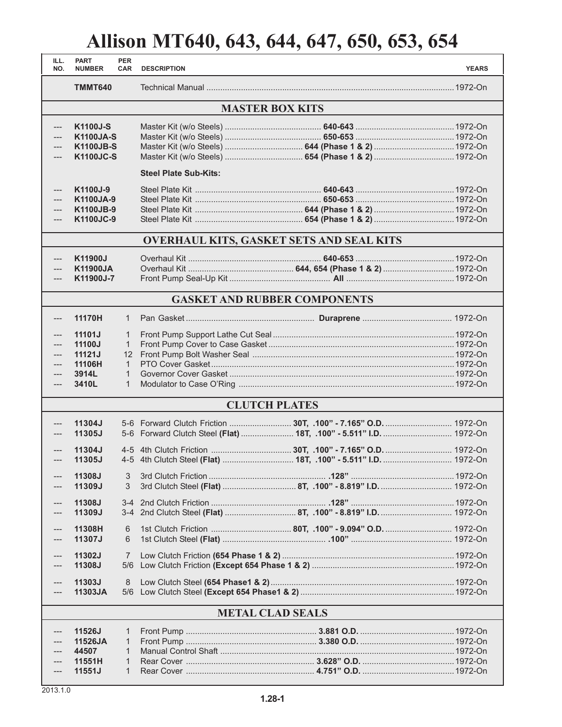## **Allison MT640, 643, 644, 647, 650, 653, 654**

| ILL.<br>NO.                      | <b>PART</b><br><b>NUMBER</b>                                         | <b>PER</b><br><b>CAR</b>                                                                          | <b>DESCRIPTION</b>           |                                                                    | <b>YEARS</b> |  |  |  |  |
|----------------------------------|----------------------------------------------------------------------|---------------------------------------------------------------------------------------------------|------------------------------|--------------------------------------------------------------------|--------------|--|--|--|--|
|                                  | <b>TMMT640</b>                                                       |                                                                                                   |                              |                                                                    |              |  |  |  |  |
| <b>MASTER BOX KITS</b>           |                                                                      |                                                                                                   |                              |                                                                    |              |  |  |  |  |
| $---$<br>---                     | K1100J-S<br><b>K1100JA-S</b><br><b>K1100JB-S</b><br><b>K1100JC-S</b> |                                                                                                   |                              |                                                                    |              |  |  |  |  |
|                                  |                                                                      |                                                                                                   | <b>Steel Plate Sub-Kits:</b> |                                                                    |              |  |  |  |  |
| $---$<br>$---$<br>---<br>$---$   | K1100J-9<br>K1100JA-9<br>K1100JB-9<br><b>K1100JC-9</b>               |                                                                                                   |                              |                                                                    |              |  |  |  |  |
|                                  |                                                                      |                                                                                                   |                              | OVERHAUL KITS, GASKET SETS AND SEAL KITS                           |              |  |  |  |  |
| ---<br>$---$                     | K11900J<br><b>K11900JA</b><br>K11900J-7                              |                                                                                                   |                              |                                                                    |              |  |  |  |  |
|                                  |                                                                      |                                                                                                   |                              | <b>GASKET AND RUBBER COMPONENTS</b>                                |              |  |  |  |  |
| $---$                            | 11170H                                                               | $\mathbf{1}$                                                                                      |                              |                                                                    |              |  |  |  |  |
| $---$<br>$---$<br>$---$<br>$---$ | 11101J<br>11100J<br>11121J<br>11106H<br>3914L<br>3410L               | $\mathbf{1}$<br>$\mathbf{1}$<br>$12 \overline{ }$<br>$\mathbf{1}$<br>$\mathbf{1}$<br>$\mathbf{1}$ |                              |                                                                    |              |  |  |  |  |
|                                  |                                                                      |                                                                                                   |                              | <b>CLUTCH PLATES</b>                                               |              |  |  |  |  |
| ---<br>---                       | 11304J<br>11305J                                                     |                                                                                                   |                              | 5-6 Forward Clutch Steel (Flat)  18T, .100" - 5.511" I.D.  1972-On |              |  |  |  |  |
| $---$                            | 11304J<br>11305J                                                     |                                                                                                   |                              |                                                                    |              |  |  |  |  |
|                                  | 11308J<br>11309J                                                     | 3<br>3                                                                                            |                              |                                                                    |              |  |  |  |  |
|                                  | 11308J<br>11309J                                                     | $3 - 4$                                                                                           |                              |                                                                    |              |  |  |  |  |
|                                  | 11308H<br>11307J                                                     | 6<br>6                                                                                            |                              |                                                                    |              |  |  |  |  |
|                                  | 11302J<br>11308J                                                     | 7<br>5/6                                                                                          |                              |                                                                    |              |  |  |  |  |
|                                  | 11303J<br>11303JA                                                    | 8<br>5/6                                                                                          |                              |                                                                    |              |  |  |  |  |
| <b>METAL CLAD SEALS</b>          |                                                                      |                                                                                                   |                              |                                                                    |              |  |  |  |  |
|                                  | 11526J<br>11526JA<br>44507<br>11551H<br>11551J                       | $\mathbf{1}$<br>$\mathbf{1}$<br>$\mathbf{1}$<br>1<br>$\mathbf{1}$                                 |                              |                                                                    |              |  |  |  |  |